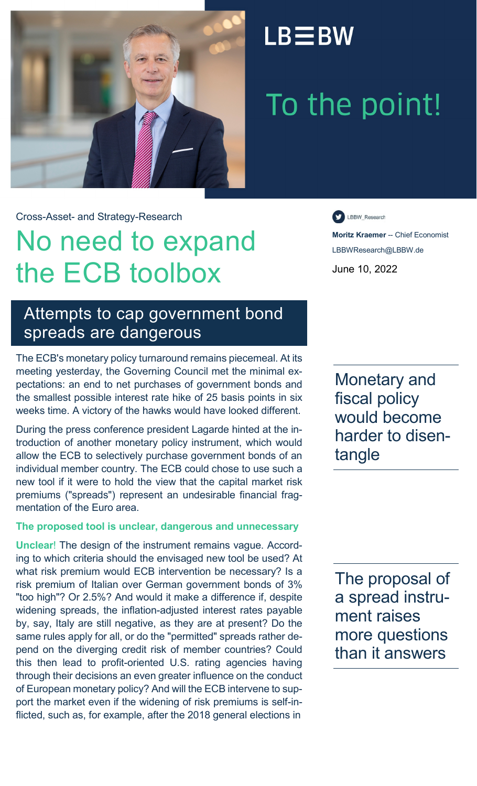

## $LB \equiv BW$

# To the point!

Cross-Asset- and Strategy-Research

## No need to expand the ECB toolbox

LBBW\_Research

**Moritz Kraemer** -- Chief Economist LBBWResearch@LBBW.de June 10, 2022

## Attempts to cap government bond spreads are dangerous

The ECB's monetary policy turnaround remains piecemeal. At its meeting yesterday, the Governing Council met the minimal expectations: an end to net purchases of government bonds and the smallest possible interest rate hike of 25 basis points in six weeks time. A victory of the hawks would have looked different.

During the press conference president Lagarde hinted at the introduction of another monetary policy instrument, which would allow the ECB to selectively purchase government bonds of an individual member country. The ECB could chose to use such a new tool if it were to hold the view that the capital market risk premiums ("spreads") represent an undesirable financial fragmentation of the Euro area.

### **The proposed tool is unclear, dangerous and unnecessary**

**Unclear**! The design of the instrument remains vague. According to which criteria should the envisaged new tool be used? At what risk premium would ECB intervention be necessary? Is a risk premium of Italian over German government bonds of 3% "too high"? Or 2.5%? And would it make a difference if, despite widening spreads, the inflation-adjusted interest rates payable by, say, Italy are still negative, as they are at present? Do the same rules apply for all, or do the "permitted" spreads rather depend on the diverging credit risk of member countries? Could this then lead to profit-oriented U.S. rating agencies having through their decisions an even greater influence on the conduct of European monetary policy? And will the ECB intervene to support the market even if the widening of risk premiums is self-inflicted, such as, for example, after the 2018 general elections in

Monetary and fiscal policy would become harder to disentangle

The proposal of a spread instrument raises more questions than it answers